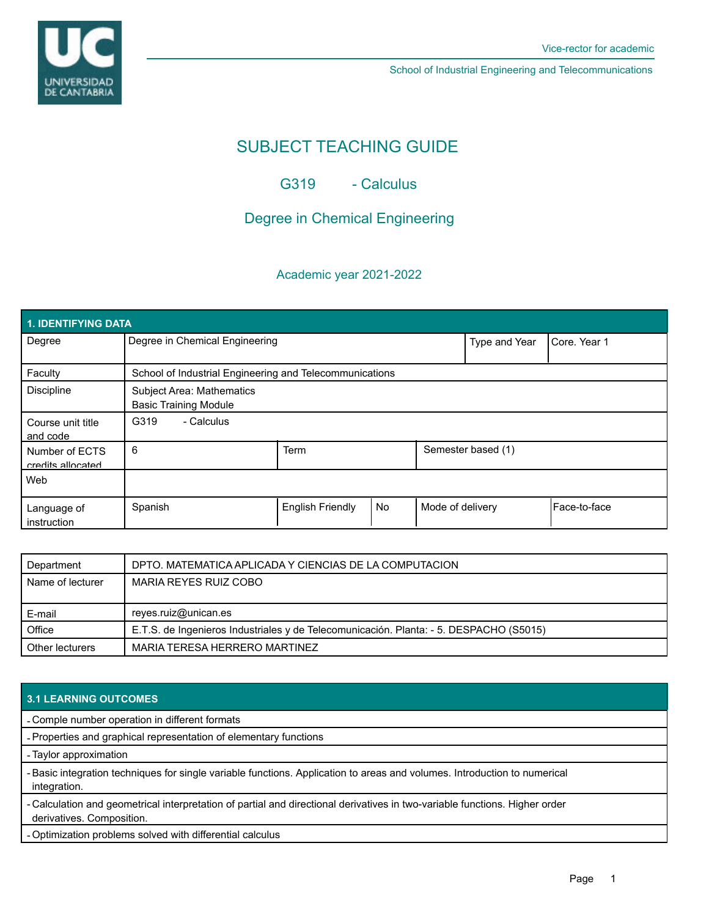

School of Industrial Engineering and Telecommunications

# SUBJECT TEACHING GUIDE

G319 - Calculus

# Degree in Chemical Engineering

## Academic year 2021-2022

| 1. IDENTIFYING DATA                 |                                                                  |                         |           |                  |                    |                |
|-------------------------------------|------------------------------------------------------------------|-------------------------|-----------|------------------|--------------------|----------------|
| Degree                              | Degree in Chemical Engineering                                   |                         |           | Type and Year    | Core, Year 1       |                |
| Faculty                             | School of Industrial Engineering and Telecommunications          |                         |           |                  |                    |                |
| <b>Discipline</b>                   | <b>Subject Area: Mathematics</b><br><b>Basic Training Module</b> |                         |           |                  |                    |                |
| Course unit title<br>and code       | - Calculus<br>G319                                               |                         |           |                  |                    |                |
| Number of ECTS<br>credits allocated | 6                                                                | Term                    |           |                  | Semester based (1) |                |
| Web                                 |                                                                  |                         |           |                  |                    |                |
| Language of<br>instruction          | Spanish                                                          | <b>English Friendly</b> | <b>No</b> | Mode of delivery |                    | l Face-to-face |

| Department       | DPTO. MATEMATICA APLICADA Y CIENCIAS DE LA COMPUTACION                                 |
|------------------|----------------------------------------------------------------------------------------|
| Name of lecturer | MARIA REYES RUIZ COBO                                                                  |
|                  |                                                                                        |
|                  |                                                                                        |
| E-mail           | reyes.ruiz@unican.es                                                                   |
| Office           | E.T.S. de Ingenieros Industriales y de Telecomunicación. Planta: - 5. DESPACHO (S5015) |

#### **3.1 LEARNING OUTCOMES**

- Comple number operation in different formats

- Properties and graphical representation of elementary functions

- Taylor approximation

-Basic integration techniques for single variable functions. Application to areas and volumes. Introduction to numerical integration.

- Calculation and geometrical interpretation of partial and directional derivatives in two-variable functions. Higher order derivatives. Composition.

- Optimization problems solved with differential calculus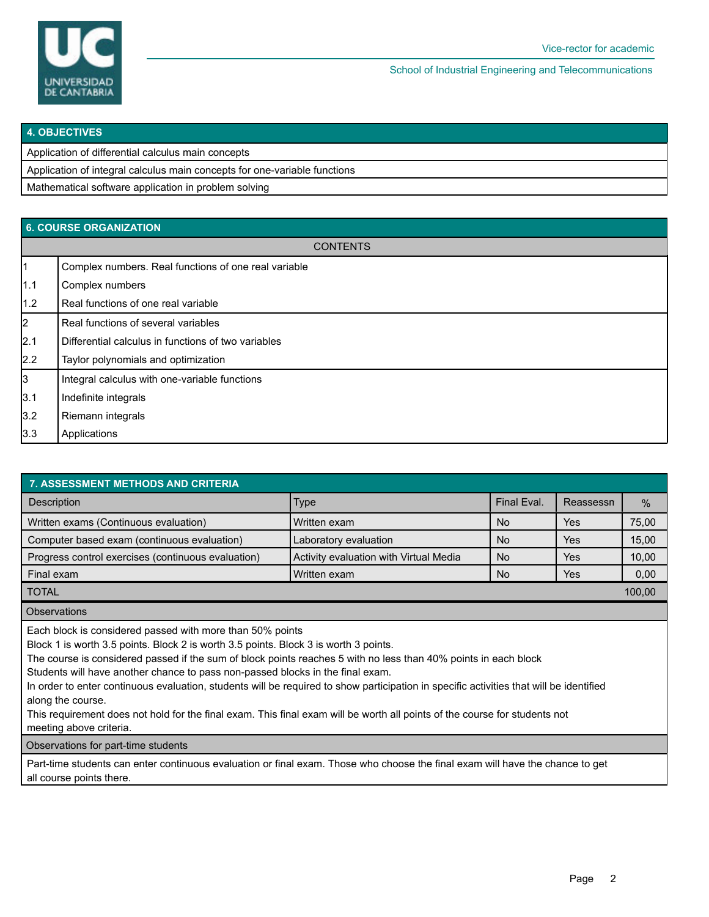

School of Industrial Engineering and Telecommunications

|  | <b>4. OBJECTIVES</b> |  |
|--|----------------------|--|

Application of differential calculus main concepts

Application of integral calculus main concepts for one-variable functions

Mathematical software application in problem solving

### **6. COURSE ORGANIZATION**

|                | <b>CONTENTS</b>                                      |
|----------------|------------------------------------------------------|
| $\mathbf{1}$   | Complex numbers. Real functions of one real variable |
| 1.1            | Complex numbers                                      |
| 1.2            | Real functions of one real variable                  |
| $\overline{2}$ | Real functions of several variables                  |
| 2.1            | Differential calculus in functions of two variables  |
| $2.2\,$        | Taylor polynomials and optimization                  |
| 3              | Integral calculus with one-variable functions        |
| 3.1            | Indefinite integrals                                 |
| 3.2            | Riemann integrals                                    |
| 3.3            | Applications                                         |
|                |                                                      |

| <b>7. ASSESSMENT METHODS AND CRITERIA</b>               |                                        |             |           |        |  |
|---------------------------------------------------------|----------------------------------------|-------------|-----------|--------|--|
| Description                                             | <b>Type</b>                            | Final Eval. | Reassessn | $\%$   |  |
| Written exams (Continuous evaluation)<br>l Written exam |                                        | <b>No</b>   | Yes       | 75,00  |  |
| Computer based exam (continuous evaluation)             | Laboratory evaluation                  | <b>No</b>   | Yes       | 15,00  |  |
| Progress control exercises (continuous evaluation)      | Activity evaluation with Virtual Media | <b>No</b>   | Yes       | 10,00  |  |
| Final exam                                              | Written exam                           | <b>No</b>   | Yes       | 0,00   |  |
| <b>TOTAL</b>                                            |                                        |             |           | 100.00 |  |
|                                                         |                                        |             |           |        |  |

**Observations** 

Each block is considered passed with more than 50% points

Block 1 is worth 3.5 points. Block 2 is worth 3.5 points. Block 3 is worth 3 points.

The course is considered passed if the sum of block points reaches 5 with no less than 40% points in each block

Students will have another chance to pass non-passed blocks in the final exam.

In order to enter continuous evaluation, students will be required to show participation in specific activities that will be identified along the course.

This requirement does not hold for the final exam. This final exam will be worth all points of the course for students not meeting above criteria.

Observations for part-time students

Part-time students can enter continuous evaluation or final exam. Those who choose the final exam will have the chance to get all course points there.